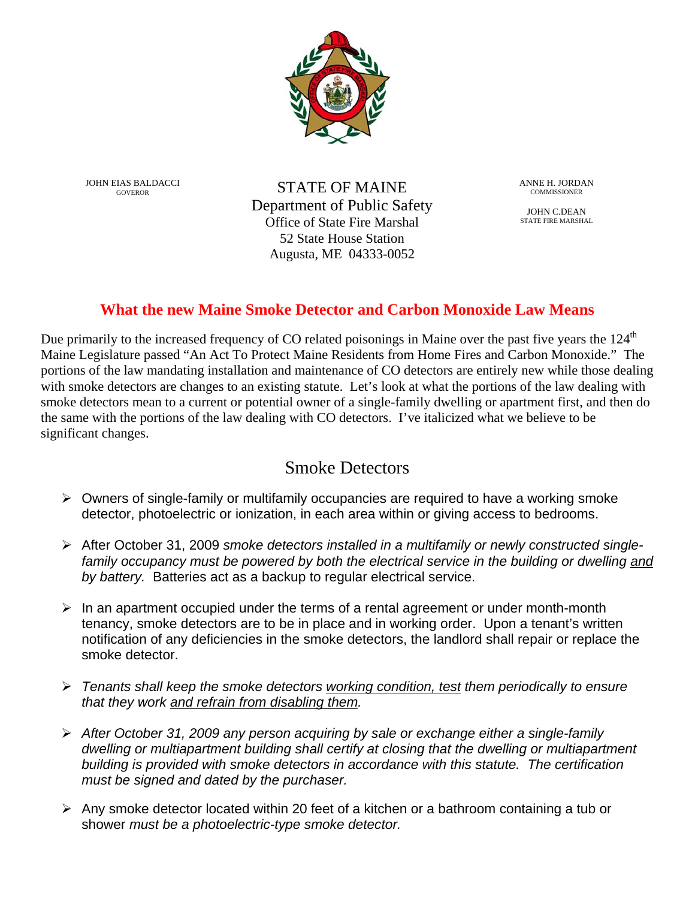

JOHN EIAS BALDACCI GOVEROR

STATE OF MAINE Department of Public Safety Office of State Fire Marshal 52 State House Station Augusta, ME 04333-0052

ANNE H. JORDAN COMMISSIONER

JOHN C.DEAN STATE FIRE MARSHAL

## **What the new Maine Smoke Detector and Carbon Monoxide Law Means**

Due primarily to the increased frequency of CO related poisonings in Maine over the past five years the 124<sup>th</sup> Maine Legislature passed "An Act To Protect Maine Residents from Home Fires and Carbon Monoxide." The portions of the law mandating installation and maintenance of CO detectors are entirely new while those dealing with smoke detectors are changes to an existing statute. Let's look at what the portions of the law dealing with smoke detectors mean to a current or potential owner of a single-family dwelling or apartment first, and then do the same with the portions of the law dealing with CO detectors. I've italicized what we believe to be significant changes.

## Smoke Detectors

- $\triangleright$  Owners of single-family or multifamily occupancies are required to have a working smoke detector, photoelectric or ionization, in each area within or giving access to bedrooms.
- After October 31, 2009 *smoke detectors installed in a multifamily or newly constructed singlefamily occupancy must be powered by both the electrical service in the building or dwelling and by battery.* Batteries act as a backup to regular electrical service.
- $\triangleright$  In an apartment occupied under the terms of a rental agreement or under month-month tenancy, smoke detectors are to be in place and in working order. Upon a tenant's written notification of any deficiencies in the smoke detectors, the landlord shall repair or replace the smoke detector.
- *Tenants shall keep the smoke detectors working condition, test them periodically to ensure that they work and refrain from disabling them.*
- *After October 31, 2009 any person acquiring by sale or exchange either a single-family dwelling or multiapartment building shall certify at closing that the dwelling or multiapartment building is provided with smoke detectors in accordance with this statute. The certification must be signed and dated by the purchaser.*
- $\triangleright$  Any smoke detector located within 20 feet of a kitchen or a bathroom containing a tub or shower *must be a photoelectric-type smoke detector.*